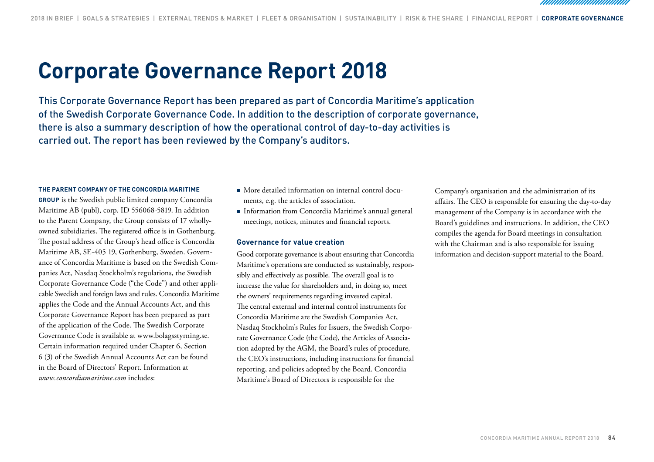## <span id="page-0-0"></span>**Corporate Governance Report 2018**

This Corporate Governance Report has been prepared as part of Concordia Maritime's application of the Swedish Corporate Governance Code. In addition to the description of corporate governance, there is also a summary description of how the operational control of day-to-day activities is carried out. The report has been reviewed by the Company's auditors.

#### **THE PARENT COMPANY OF THE CONCORDIA MARITIME**

**GROUP** is the Swedish public limited company Concordia Maritime AB (publ), corp. ID 556068-5819. In addition to the Parent Company, the Group consists of 17 whollyowned subsidiaries. The registered office is in Gothenburg. The postal address of the Group's head office is Concordia Maritime AB, SE-405 19, Gothenburg, Sweden. Governance of Concordia Maritime is based on the Swedish Companies Act, Nasdaq Stockholm's regulations, the Swedish Corporate Governance Code ("the Code") and other applicable Swedish and foreign laws and rules. Concordia Maritime applies the Code and the Annual Accounts Act, and this Corporate Governance Report has been prepared as part of the application of the Code. The Swedish Corporate Governance Code is available at www.bolagsstyrning.se. Certain information required under Chapter 6, Section 6 (3) of the Swedish Annual Accounts Act can be found in the Board of Directors' Report. Information at *www.concordiamaritime.com* includes:

- More detailed information on internal control documents, e.g. the articles of association.
- Information from Concordia Maritime's annual general meetings, notices, minutes and financial reports.

### **Governance for value creation**

Good corporate governance is about ensuring that Concordia Maritime's operations are conducted as sustainably, responsibly and effectively as possible. The overall goal is to increase the value for shareholders and, in doing so, meet the owners' requirements regarding invested capital. The central external and internal control instruments for Concordia Maritime are the Swedish Companies Act, Nasdaq Stockholm's Rules for Issuers, the Swedish Corporate Governance Code (the Code), the Articles of Association adopted by the AGM, the Board's rules of procedure, the CEO's instructions, including instructions for financial reporting, and policies adopted by the Board. Concordia Maritime's Board of Directors is responsible for the

Company's organisation and the administration of its affairs. The CEO is responsible for ensuring the day-to-day management of the Company is in accordance with the Board's guidelines and instructions. In addition, the CEO compiles the agenda for Board meetings in consultation with the Chairman and is also responsible for issuing information and decision-support material to the Board.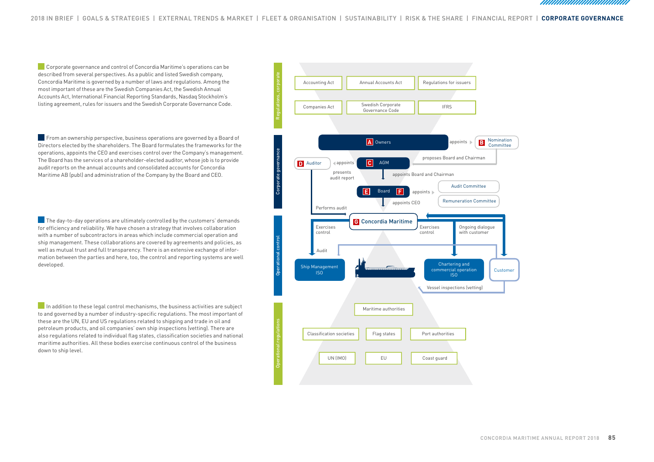[2018 IN BRIEF | GOALS & STRATEGIES | EXTERNAL TRENDS & MARKET | FLEET & ORGANISATION | SUSTAINABILITY | RISK & THE SHARE | FINANCIAL REPORT |](#page--1-0) **[CORPORATE GOVERNANCE](#page-0-0)**

Corporate governance and control of Concordia Maritime's operations can be described from several perspectives. As a public and listed Swedish company, Concordia Maritime is governed by a number of laws and regulations. Among the most important of these are the Swedish Companies Act, the Swedish Annual Accounts Act, International Financial Reporting Standards, Nasdaq Stockholm's listing agreement, rules for issuers and the Swedish Corporate Governance Code.

From an ownership perspective, business operations are governed by a Board of Directors elected by the shareholders. The Board formulates the frameworks for the operations, appoints the CEO and exercises control over the Company's management. The Board has the services of a shareholder-elected auditor, whose job is to provide audit reports on the annual accounts and consolidated accounts for Concordia Maritime AB (publ) and administration of the Company by the Board and CEO.

The day-to-day operations are ultimately controlled by the customers' demands for efficiency and reliability. We have chosen a strategy that involves collaboration with a number of subcontractors in areas which include commercial operation and ship management. These collaborations are covered by agreements and policies, as well as mutual trust and full transparency. There is an extensive exchange of information between the parties and here, too, the control and reporting systems are well developed.

In addition to these legal control mechanisms, the business activities are subject to and governed by a number of industry-specific regulations. The most important of these are the UN, EU and US regulations related to shipping and trade in oil and petroleum products, and oil companies' own ship inspections (vetting). There are also regulations related to individual flag states, classification societies and national maritime authorities. All these bodies exercise continuous control of the business down to ship level.

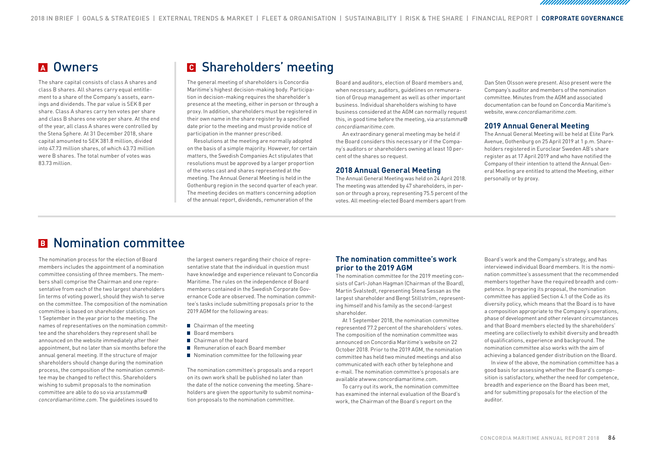### **<sup>A</sup>** Owners

The share capital consists of class A shares and class B shares. All shares carry equal entitlement to a share of the Company's assets, earnings and dividends. The par value is SEK 8 per share. Class A shares carry ten votes per share and class B shares one vote per share. At the end of the year, all class A shares were controlled by the Stena Sphere. At 31 December 2018, share capital amounted to SEK 381.8 million, divided into 47.73 million shares, of which 43.73 million were B shares. The total number of votes was 83.73 million.

### **<sup>C</sup>** Shareholders' meeting

The general meeting of shareholders is Concordia Maritime's highest decision-making body. Participation in decision-making requires the shareholder's presence at the meeting, either in person or through a proxy. In addition, shareholders must be registered in their own name in the share register by a specified date prior to the meeting and must provide notice of participation in the manner prescribed.

Resolutions at the meeting are normally adopted on the basis of a simple majority. However, for certain matters, the Swedish Companies Act stipulates that resolutions must be approved by a larger proportion of the votes cast and shares represented at the meeting. The Annual General Meeting is held in the Gothenburg region in the second quarter of each year. The meeting decides on matters concerning adoption of the annual report, dividends, remuneration of the

Board and auditors, election of Board members and, when necessary, auditors, guidelines on remuneration of Group management as well as other important business. Individual shareholders wishing to have business considered at the AGM can normally request this, in good time before the meeting, via *arsstamma@ concordiamaritime.com*.

An extraordinary general meeting may be held if the Board considers this necessary or if the Company's auditors or shareholders owning at least 10 percent of the shares so request.

#### **2018 Annual General Meeting**

The Annual General Meeting was held on 24 April 2018. The meeting was attended by 47 shareholders, in person or through a proxy, representing 75.5 percent of the votes. All meeting-elected Board members apart from

Dan Sten Olsson were present. Also present were the Company's auditor and members of the nomination committee. Minutes from the AGM and associated documentation can be found on Concordia Maritime's website, *www.concordiamaritime.com.* 

### **2019 Annual General Meeting**

The Annual General Meeting will be held at Elite Park Avenue, Gothenburg on 25 April 2019 at 1 p.m. Shareholders registered in Euroclear Sweden AB's share register as at 17 April 2019 and who have notified the Company of their intention to attend the Annual General Meeting are entitled to attend the Meeting, either personally or by proxy.

### **B** Nomination committee

The nomination process for the election of Board members includes the appointment of a nomination committee consisting of three members. The members shall comprise the Chairman and one representative from each of the two largest shareholders (in terms of voting power), should they wish to serve on the committee. The composition of the nomination committee is based on shareholder statistics on 1 September in the year prior to the meeting. The names of representatives on the nomination committee and the shareholders they represent shall be announced on the website immediately after their appointment, but no later than six months before the annual general meeting. If the structure of major shareholders should change during the nomination process, the composition of the nomination committee may be changed to reflect this. Shareholders wishing to submit proposals to the nomination committee are able to do so via *arsstamma@ concordiamaritime.com*. The guidelines issued to

the largest owners regarding their choice of representative state that the individual in question must have knowledge and experience relevant to Concordia Maritime. The rules on the independence of Board members contained in the Swedish Corporate Governance Code are observed. The nomination committee's tasks include submitting proposals prior to the 2019 AGM for the following areas:

- Chairman of the meeting
- **Board members**
- Chairman of the board
- Remuneration of each Board member
- Nomination committee for the following year

The nomination committee's proposals and a report on its own work shall be published no later than the date of the notice convening the meeting. Shareholders are given the opportunity to submit nomination proposals to the nomination committee.

### **The nomination committee's work prior to the 2019 AGM**

The nomination committee for the 2019 meeting consists of Carl-Johan Hagman (Chairman of the Board), Martin Svalstedt, representing Stena Sessan as the largest shareholder and Bengt Stillström, representing himself and his family as the second-largest shareholder.

At 1 September 2018, the nomination committee represented 77.2 percent of the shareholders' votes. The composition of the nomination committee was announced on Concordia Maritime's website on 22 October 2018. Prior to the 2019 AGM, the nomination committee has held two minuted meetings and also communicated with each other by telephone and e-mail. The nomination committee's proposals are available atwww.concordiamaritime.com.

To carry out its work, the nomination committee has examined the internal evaluation of the Board's work, the Chairman of the Board's report on the

Board's work and the Company's strategy, and has interviewed individual Board members. It is the nomination committee's assessment that the recommended members together have the required breadth and competence. In preparing its proposal, the nomination committee has applied Section 4.1 of the Code as its diversity policy, which means that the Board is to have a composition appropriate to the Company's operations, phase of development and other relevant circumstances and that Board members elected by the shareholders' meeting are collectively to exhibit diversity and breadth of qualifications, experience and background. The nomination committee also works with the aim of achieving a balanced gender distribution on the Board.

In view of the above, the nomination committee has a good basis for assessing whether the Board's composition is satisfactory, whether the need for competence, breadth and experience on the Board has been met, and for submitting proposals for the election of the auditor.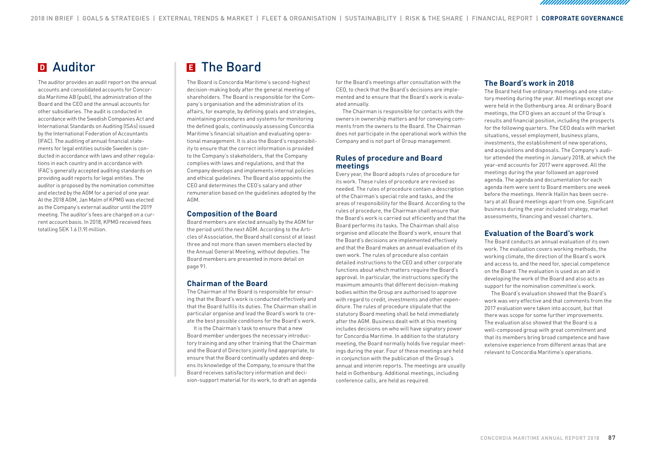The auditor provides an audit report on the annual accounts and consolidated accounts for Concordia Maritime AB (publ), the administration of the Board and the CEO and the annual accounts for other subsidiaries. The audit is conducted in accordance with the Swedish Companies Act and International Standards on Auditing (ISAs) issued by the International Federation of Accountants (IFAC). The auditing of annual financial statements for legal entities outside Sweden is conducted in accordance with laws and other regulations in each country and in accordance with IFAC's generally accepted auditing standards on providing audit reports for legal entities. The auditor is proposed by the nomination committee and elected by the AGM for a period of one year. At the 2018 AGM, Jan Malm of KPMG was elected as the Company's external auditor until the 2019 meeting. The auditor's fees are charged on a current account basis. In 2018, KPMG received fees totalling SEK 1.6 (1.9) million.

### **<sup>D</sup>** Auditor **<sup>E</sup>**The Board

The Board is Concordia Maritime's second-highest decision-making body after the general meeting of shareholders. The Board is responsible for the Company's organisation and the administration of its affairs, for example, by defining goals and strategies, maintaining procedures and systems for monitoring the defined goals, continuously assessing Concordia Maritime's financial situation and evaluating operational management. It is also the Board's responsibility to ensure that the correct information is provided to the Company's stakeholders, that the Company complies with laws and regulations, and that the Company develops and implements internal policies and ethical guidelines. The Board also appoints the CEO and determines the CEO's salary and other remuneration based on the guidelines adopted by the AGM.

#### **Composition of the Board**

Board members are elected annually by the AGM for the period until the next AGM. According to the Articles of Association, the Board shall consist of at least three and not more than seven members elected by the Annual General Meeting, without deputies. The Board members are presented in more detail on page 91.

### **Chairman of the Board**

The Chairman of the Board is responsible for ensuring that the Board's work is conducted effectively and that the Board fulfils its duties. The Chairman shall in particular organise and lead the Board's work to create the best possible conditions for the Board's work.

It is the Chairman's task to ensure that a new Board member undergoes the necessary introductory training and any other training that the Chairman and the Board of Directors jointly find appropriate, to ensure that the Board continually updates and deepens its knowledge of the Company, to ensure that the Board receives satisfactory information and decision-support material for its work, to draft an agenda

for the Board's meetings after consultation with the CEO, to check that the Board's decisions are implemented and to ensure that the Board's work is evaluated annually.

The Chairman is responsible for contacts with the owners in ownership matters and for conveying comments from the owners to the Board. The Chairman does not participate in the operational work within the Company and is not part of Group management.

### **Rules of procedure and Board meetings**

Every year, the Board adopts rules of procedure for its work. These rules of procedure are revised as needed. The rules of procedure contain a description of the Chairman's special role and tasks, and the areas of responsibility for the Board. According to the rules of procedure, the Chairman shall ensure that the Board's work is carried out efficiently and that the Board performs its tasks. The Chairman shall also organise and allocate the Board's work, ensure that the Board's decisions are implemented effectively and that the Board makes an annual evaluation of its own work. The rules of procedure also contain detailed instructions to the CEO and other corporate functions about which matters require the Board's approval. In particular, the instructions specify the maximum amounts that different decision-making bodies within the Group are authorised to approve with regard to credit, investments and other expenditure. The rules of procedure stipulate that the statutory Board meeting shall be held immediately after the AGM. Business dealt with at this meeting includes decisions on who will have signatory power for Concordia Maritime. In addition to the statutory meeting, the Board normally holds five regular meetings during the year. Four of these meetings are held in conjunction with the publication of the Group's annual and interim reports. The meetings are usually held in Gothenburg. Additional meetings, including conference calls, are held as required.

### **The Board's work in 2018**

The Board held five ordinary meetings and one statutory meeting during the year. All meetings except one were held in the Gothenburg area. At ordinary Board meetings, the CFO gives an account of the Group's results and financial position, including the prospects for the following quarters. The CEO deals with market situations, vessel employment, business plans, investments, the establishment of new operations, and acquisitions and disposals. The Company's auditor attended the meeting in January 2018, at which the year-end accounts for 2017 were approved. All the meetings during the year followed an approved agenda. The agenda and documentation for each agenda item were sent to Board members one week before the meetings. Henrik Hallin has been secretary at all Board meetings apart from one. Significant business during the year included strategy, market assessments, financing and vessel charters.

### **Evaluation of the Board's work**

The Board conducts an annual evaluation of its own work. The evaluation covers working methods, the working climate, the direction of the Board's work and access to, and the need for, special competence on the Board. The evaluation is used as an aid in developing the work of the Board and also acts as support for the nomination committee's work.

The Board's evaluation showed that the Board's work was very effective and that comments from the 2017 evaluation were taken into account, but that there was scope for some further improvements. The evaluation also showed that the Board is a well-composed group with great commitment and that its members bring broad competence and have extensive experience from different areas that are relevant to Concordia Maritime's operations.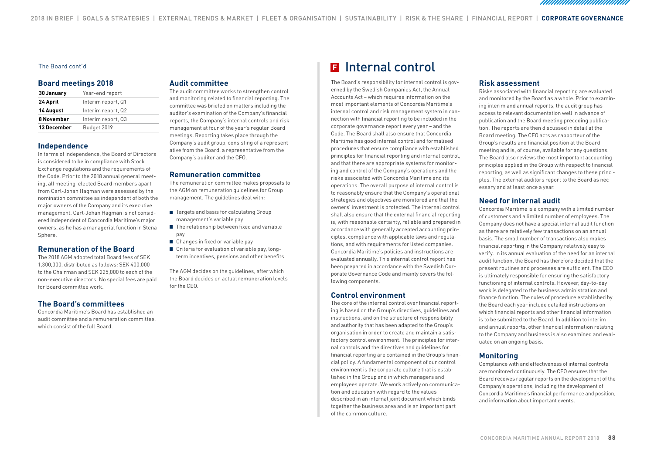#### The Board cont'd

### **Board meetings 2018**

| 30 January  | Year-end report    |
|-------------|--------------------|
| 24 April    | Interim report, Q1 |
| 14 August   | Interim report, Q2 |
| 8 November  | Interim report, Q3 |
| 13 December | Budget 2019        |

#### **Independence**

In terms of independence, the Board of Directors is considered to be in compliance with Stock Exchange regulations and the requirements of the Code. Prior to the 2018 annual general meeting, all meeting-elected Board members apart from Carl-Johan Hagman were assessed by the nomination committee as independent of both the major owners of the Company and its executive management. Carl-Johan Hagman is not considered independent of Concordia Maritime's major owners, as he has a managerial function in Stena Sphere.

### **Remuneration of the Board**

The 2018 AGM adopted total Board fees of SEK 1,300,000, distributed as follows: SEK 400,000 to the Chairman and SEK 225,000 to each of the non-executive directors. No special fees are paid for Board committee work.

### **The Board's committees**

Concordia Maritime's Board has established an audit committee and a remuneration committee, which consist of the full Board.

### **Audit committee**

The audit committee works to strengthen control and monitoring related to financial reporting. The committee was briefed on matters including the auditor's examination of the Company's financial reports, the Company's internal controls and risk management at four of the year's regular Board meetings. Reporting takes place through the Company's audit group, consisting of a representative from the Board, a representative from the Company's auditor and the CFO.

#### **Remuneration committee**

The remuneration committee makes proposals to the AGM on remuneration guidelines for Group management. The guidelines deal with:

- Targets and basis for calculating Group management's variable pay
- The relationship between fixed and variable nay
- Changes in fixed or variable pay
- Criteria for evaluation of variable pay, longterm incentives, pensions and other benefits

The AGM decides on the guidelines, after which the Board decides on actual remuneration levels for the CEO.

### **F**Internal control

The Board's responsibility for internal control is governed by the Swedish Companies Act, the Annual Accounts Act – which requires information on the most important elements of Concordia Maritime's internal control and risk management system in connection with financial reporting to be included in the corporate governance report every year – and the Code. The Board shall also ensure that Concordia Maritime has good internal control and formalised procedures that ensure compliance with established principles for financial reporting and internal control, and that there are appropriate systems for monitoring and control of the Company's operations and the risks associated with Concordia Maritime and its operations. The overall purpose of internal control is to reasonably ensure that the Company's operational strategies and objectives are monitored and that the owners' investment is protected. The internal control shall also ensure that the external financial reporting is, with reasonable certainty, reliable and prepared in accordance with generally accepted accounting principles, compliance with applicable laws and regulations, and with requirements for listed companies. Concordia Maritime's policies and instructions are evaluated annually. This internal control report has been prepared in accordance with the Swedish Corporate Governance Code and mainly covers the following components.

### **Control environment**

The core of the internal control over financial reporting is based on the Group's directives, guidelines and instructions, and on the structure of responsibility and authority that has been adapted to the Group's organisation in order to create and maintain a satisfactory control environment. The principles for internal controls and the directives and guidelines for financial reporting are contained in the Group's financial policy. A fundamental component of our control environment is the corporate culture that is established in the Group and in which managers and employees operate. We work actively on communication and education with regard to the values described in an internal joint document which binds together the business area and is an important part of the common culture.

### **Risk assessment**

Risks associated with financial reporting are evaluated and monitored by the Board as a whole. Prior to examining interim and annual reports, the audit group has access to relevant documentation well in advance of publication and the Board meeting preceding publication. The reports are then discussed in detail at the Board meeting. The CFO acts as rapporteur of the Group's results and financial position at the Board meeting and is, of course, available for any questions. The Board also reviews the most important accounting principles applied in the Group with respect to financial reporting, as well as significant changes to these principles. The external auditors report to the Board as necessary and at least once a year.

### **Need for internal audit**

Concordia Maritime is a company with a limited number of customers and a limited number of employees. The Company does not have a special internal audit function as there are relatively few transactions on an annual basis. The small number of transactions also makes financial reporting in the Company relatively easy to verify. In its annual evaluation of the need for an internal audit function, the Board has therefore decided that the present routines and processes are sufficient. The CEO is ultimately responsible for ensuring the satisfactory functioning of internal controls. However, day-to-day work is delegated to the business administration and finance function. The rules of procedure established by the Board each year include detailed instructions on which financial reports and other financial information is to be submitted to the Board. In addition to interim and annual reports, other financial information relating to the Company and business is also examined and evaluated on an ongoing basis.

### **Monitoring**

Compliance with and effectiveness of internal controls are monitored continuously. The CEO ensures that the Board receives regular reports on the development of the Company's operations, including the development of Concordia Maritime's financial performance and position, and information about important events.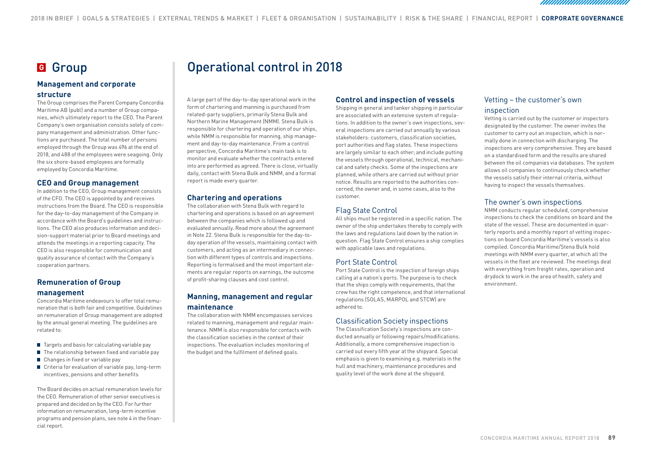## **<sup>G</sup>** Group

### **Management and corporate**

### **structure**

The Group comprises the Parent Company Concordia Maritime AB (publ) and a number of Group companies, which ultimately report to the CEO. The Parent Company's own organisation consists solely of company management and administration. Other functions are purchased. The total number of persons employed through the Group was 496 at the end of 2018, and 488 of the employees were seagoing. Only the six shore-based employees are formally employed by Concordia Maritime.

### **CEO and Group management**

In addition to the CEO, Group management consists of the CFO. The CEO is appointed by and receives instructions from the Board. The CEO is responsible for the day-to-day management of the Company in accordance with the Board's guidelines and instructions. The CEO also produces information and decision-support material prior to Board meetings and attends the meetings in a reporting capacity. The CEO is also responsible for communication and quality assurance of contact with the Company's cooperation partners.

### **Remuneration of Group**

#### **management**

Concordia Maritime endeavours to offer total remuneration that is both fair and competitive. Guidelines on remuneration of Group management are adopted by the annual general meeting. The guidelines are related to:

- $\blacksquare$  Targets and basis for calculating variable pay
- $\blacksquare$  The relationship between fixed and variable pay
- Changes in fixed or variable pay
- Criteria for evaluation of variable pay, long-term incentives, pensions and other benefits

The Board decides on actual remuneration levels for the CEO. Remuneration of other senior executives is prepared and decided on by the CEO. For further information on remuneration, long-term incentive programs and pension plans, see note 4 in the financial report.

### Operational control in 2018

A large part of the day-to-day operational work in the form of chartering and manning is purchased from related-party suppliers, primarily Stena Bulk and Northern Marine Management (NMM). Stena Bulk is responsible for chartering and operation of our ships, while NMM is responsible for manning, ship management and day-to-day maintenance. From a control perspective, Concordia Maritime's main task is to monitor and evaluate whether the contracts entered into are performed as agreed. There is close, virtually daily, contact with Stena Bulk and NMM, and a formal report is made every quarter.

### **Chartering and operations**

The collaboration with Stena Bulk with regard to chartering and operations is based on an agreement between the companies which is followed up and evaluated annually. Read more about the agreement in Note 22. Stena Bulk is responsible for the day-today operation of the vessels, maintaining contact with customers, and acting as an intermediary in connection with different types of controls and inspections. Reporting is formalised and the most important elements are regular reports on earnings, the outcome of profit-sharing clauses and cost control.

### **Manning, management and regular maintenance**

The collaboration with NMM encompasses services related to manning, management and regular maintenance. NMM is also responsible for contacts with the classification societies in the context of their inspections. The evaluation includes monitoring of the budget and the fulfilment of defined goals.

### **Control and inspection of vessels**

Shipping in general and tanker shipping in particular are associated with an extensive system of regulations. In addition to the owner's own inspections, several inspections are carried out annually by various stakeholders: customers, classification societies, port authorities and flag states. These inspections are largely similar to each other; and include putting the vessels through operational, technical, mechanical and safety checks. Some of the inspections are planned, while others are carried out without prior notice. Results are reported to the authorities concerned, the owner and, in some cases, also to the customer.

### Flag State Control

All ships must be registered in a specific nation. The owner of the ship undertakes thereby to comply with the laws and regulations laid down by the nation in question. Flag State Control ensures a ship complies with applicable laws and regulations.

### Port State Control

Port State Control is the inspection of foreign ships calling at a nation's ports. The purpose is to check that the ships comply with requirements, that the crew has the right competence, and that international regulations (SOLAS, MARPOL and STCW) are adhered to.

### Classification Society inspections

The Classification Society's inspections are conducted annually or following repairs/modifications. Additionally, a more comprehensive inspection is carried out every fifth year at the shipyard. Special emphasis is given to examining e.g. materials in the hull and machinery, maintenance procedures and quality level of the work done at the shipyard.

### Vetting – the customer's own inspection

Vetting is carried out by the customer or inspectors designated by the customer. The owner invites the customer to carry out an inspection, which is normally done in connection with discharging. The inspections are very comprehensive. They are based on a standardised form and the results are shared between the oil companies via databases. The system allows oil companies to continuously check whether the vessels satisfy their internal criteria, without having to inspect the vessels themselves.

### The owner's own inspections

NMM conducts regular scheduled, comprehensive inspections to check the conditions on board and the state of the vessel. These are documented in quarterly reports and a monthly report of vetting inspections on board Concordia Maritime's vessels is also compiled. Concordia Maritime/Stena Bulk hold meetings with NMM every quarter, at which all the vessels in the fleet are reviewed. The meetings deal with everything from freight rates, operation and drydock to work in the area of health, safety and environment.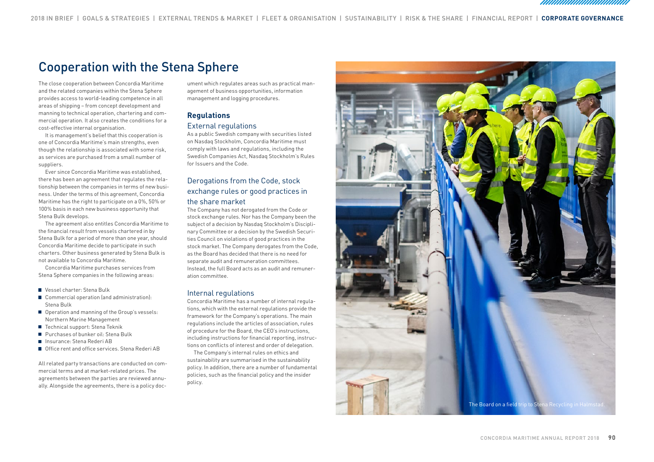### Cooperation with the Stena Sphere

The close cooperation between Concordia Maritime and the related companies within the Stena Sphere provides access to world-leading competence in all areas of shipping – from concept development and manning to technical operation, chartering and com mercial operation. It also creates the conditions for a cost-effective internal organisation.

It is management's belief that this cooperation is one of Concordia Maritime's main strengths, even though the relationship is associated with some risk, as services are purchased from a small number of suppliers.

Ever since Concordia Maritime was established, there has been an agreement that regulates the rela tionship between the companies in terms of new busi ness. Under the terms of this agreement, Concordia Maritime has the right to participate on a 0%, 50% or 100% basis in each new business opportunity that Stena Bulk develops.

The agreement also entitles Concordia Maritime to the financial result from vessels chartered in by Stena Bulk for a period of more than one year, should Concordia Maritime decide to participate in such charters. Other business generated by Stena Bulk is not available to Concordia Maritime.

Concordia Maritime purchases services from Stena Sphere companies in the following areas:

- Vessel charter: Stena Bulk
- Commercial operation (and administration): Stena Bulk
- Operation and manning of the Group's vessels: Northern Marine Management
- Technical support: Stena Teknik
- **Purchases of bunker oil: Stena Bulk**
- Insurance: Stena Rederi AB
- Office rent and office services. Stena Rederi AB

All related party transactions are conducted on com mercial terms and at market-related prices. The agreements between the parties are reviewed annu ally. Alongside the agreements, there is a policy doc -

ument which regulates areas such as practical man agement of business opportunities, information management and logging procedures.

### **Regulations**

#### External regulations

As a public Swedish company with securities listed on Nasdaq Stockholm, Concordia Maritime must comply with laws and regulations, including the Swedish Companies Act, Nasdaq Stockholm's Rules for Issuers and the Code.

### Derogations from the Code, stock exchange rules or good practices in the share market

The Company has not derogated from the Code or stock exchange rules. Nor has the Company been the subject of a decision by Nasdaq Stockholm's Discipli nary Committee or a decision by the Swedish Securi ties Council on violations of good practices in the stock market. The Company derogates from the Code,

as the Board has decided that there is no need for separate audit and remuneration committees. Instead, the full Board acts as an audit and remuner ation committee.

#### Internal regulations

Concordia Maritime has a number of internal regula tions, which with the external regulations provide the framework for the Company's operations. The main regulations include the articles of association, rules of procedure for the Board, the CEO's instructions, including instructions for financial reporting, instruc tions on conflicts of interest and order of delegation.

The Company's internal rules on ethics and sustainability are summarised in the sustainability policy. In addition, there are a number of fundamental policies, such as the financial policy and the insider policy.

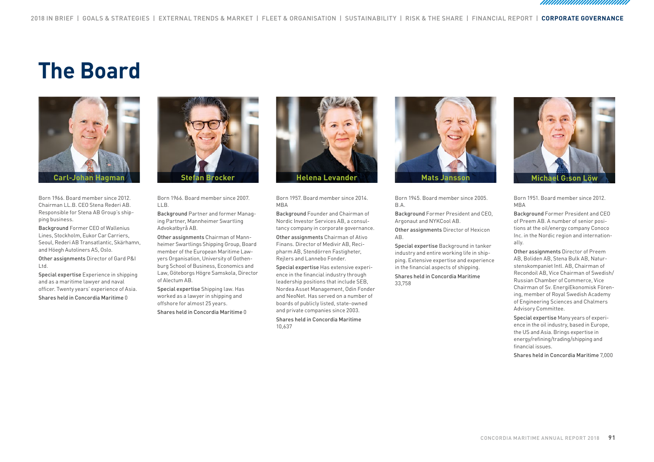# **The Board**

![](_page_7_Picture_3.jpeg)

Born 1966. Board member since 2012. Chairman LL.B. CEO Stena Rederi AB. Responsible for Stena AB Group's shipping business.

Background Former CEO of Wallenius Lines, Stockholm, Eukor Car Carriers, Seoul, Rederi AB Transatlantic, Skärhamn, and Höegh Autoliners AS, Oslo.

Other assignments Director of Gard P&I Ltd.

Special expertise Experience in shipping and as a maritime lawyer and naval officer. Twenty years' experience of Asia.

Shares held in Concordia Maritime 0

![](_page_7_Picture_9.jpeg)

Born 1966. Board member since 2007. LLB.

Background Partner and former Managing Partner, Mannheimer Swartling Advokatbyrå AB.

Other assignments Chairman of Mannheimer Swartlings Shipping Group, Board member of the European Maritime Lawyers Organisation, University of Gothenburg School of Business, Economics and Law, Göteborgs Högre Samskola, Director of Alectum AB.

Special expertise Shipping law. Has worked as a lawyer in shipping and offshore for almost 25 years. Shares held in Concordia Maritime 0

![](_page_7_Picture_14.jpeg)

Born 1957. Board member since 2014.  $MR\Delta$ 

Background Founder and Chairman of Nordic Investor Services AB, a consultancy company in corporate governance. Other assignments Chairman of Ativo

Finans. Director of Medivir AB, Recipharm AB, Stendörren Fastigheter, Rejlers and Lannebo Fonder.

Special expertise Has extensive experience in the financial industry through leadership positions that include SEB, Nordea Asset Management, Odin Fonder and NeoNet. Has served on a number of boards of publicly listed, state-owned and private companies since 2003.

Shares held in Concordia Maritime 10,637

![](_page_7_Picture_20.jpeg)

Born 1945. Board member since 2005. B.A.

Background Former President and CEO, Argonaut and NYKCool AB.

Other assignments Director of Hexicon AB.

Special expertise Background in tanker industry and entire working life in shipping. Extensive expertise and experience in the financial aspects of shipping. Shares held in Concordia Maritime 33,758

![](_page_7_Picture_25.jpeg)

Born 1951. Board member since 2012. MBA

Background Former President and CEO of Preem AB. A number of senior positions at the oil/energy company Conoco Inc. in the Nordic region and internationally.

Other assignments Director of Preem AB, Boliden AB, Stena Bulk AB, Naturstenskompaniet Intl. AB, Chairman of Recondoil AB, Vice Chairman of Swedish/ Russian Chamber of Commerce, Vice Chairman of Sv. EnergiEkonomisk Förening, member of Royal Swedish Academy of Engineering Sciences and Chalmers Advisory Committee.

Special expertise Many years of experience in the oil industry, based in Europe, the US and Asia. Brings expertise in energy/refining/trading/shipping and financial issues.

Shares held in Concordia Maritime 7,000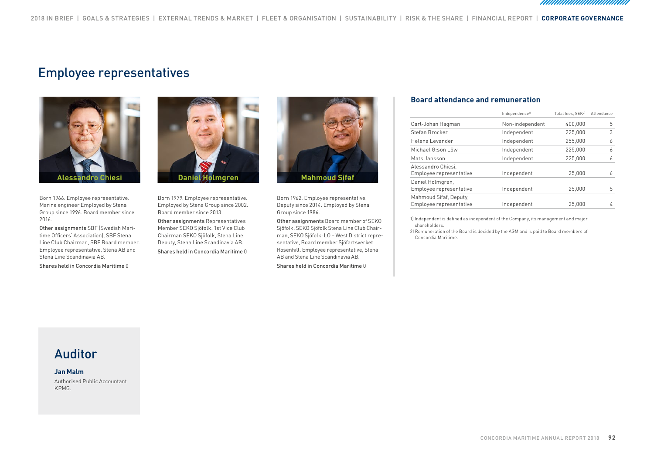### Employee representatives

![](_page_8_Picture_3.jpeg)

Born 1966. Employee representative. Marine engineer Employed by Stena Group since 1996. Board member since 2016.

Other assignments SBF (Swedish Maritime Officers' Association), SBF Stena Line Club Chairman, SBF Board member. Employee representative, Stena AB and Stena Line Scandinavia AB.

Shares held in Concordia Maritime 0

![](_page_8_Picture_7.jpeg)

Born 1979. Employee representative. Employed by Stena Group since 2002. Board member since 2013.

Other assignments Representatives Member SEKO Sjöfolk. 1st Vice Club Chairman SEKO Sjöfolk, Stena Line. Deputy, Stena Line Scandinavia AB. Shares held in Concordia Maritime 0

![](_page_8_Picture_10.jpeg)

Born 1962. Employee representative. Deputy since 2014. Employed by Stena Group since 1986.

Other assignments Board member of SEKO Sjöfolk. SEKO Sjöfolk Stena Line Club Chairman, SEKO Sjöfolk: LO – West District representative, Board member Sjöfartsverket Rosenhill. Employee representative, Stena AB and Stena Line Scandinavia AB.

Shares held in Concordia Maritime 0

### **Board attendance and remuneration**

|                                                   | Independence <sup>1)</sup> | Total fees, SEK <sup>2]</sup> | Attendance |
|---------------------------------------------------|----------------------------|-------------------------------|------------|
| Carl-Johan Hagman                                 | Non-independent            | 400,000                       | 5          |
| Stefan Brocker                                    | Independent                | 225.000                       | 3          |
| Helena Levander                                   | Independent                | 255,000                       | 6          |
| Michael G:son Löw                                 | Independent                | 225,000                       | 6          |
| Mats Jansson                                      | Independent                | 225,000                       | 6          |
| Alessandro Chiesi,<br>Employee representative     | Independent                | 25,000                        | 6          |
| Daniel Holmgren,<br>Employee representative       | Independent                | 25,000                        | 5          |
| Mahmoud Sifaf, Deputy,<br>Employee representative | Independent                | 25.000                        |            |

1) Independent is defined as independent of the Company, its management and major shareholders.

2) Remuneration of the Board is decided by the AGM and is paid to Board members of Concordia Maritime.

### Auditor

**Jan Malm** Authorised Public Accountant KPMG.